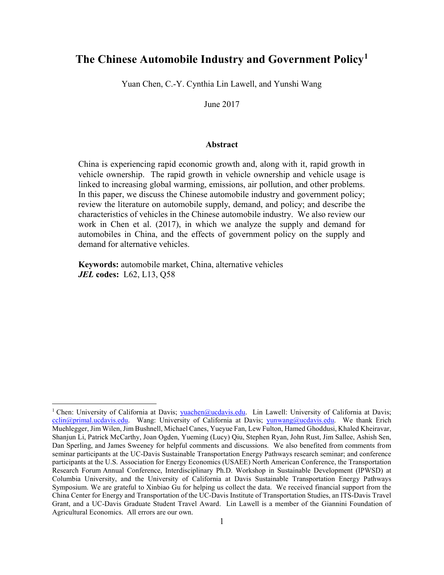# The Chinese Automobile Industry and Government Policy<sup>1</sup>

Yuan Chen, C.-Y. Cynthia Lin Lawell, and Yunshi Wang

June 2017

### Abstract

China is experiencing rapid economic growth and, along with it, rapid growth in vehicle ownership. The rapid growth in vehicle ownership and vehicle usage is linked to increasing global warming, emissions, air pollution, and other problems. In this paper, we discuss the Chinese automobile industry and government policy; review the literature on automobile supply, demand, and policy; and describe the characteristics of vehicles in the Chinese automobile industry. We also review our work in Chen et al. (2017), in which we analyze the supply and demand for automobiles in China, and the effects of government policy on the supply and demand for alternative vehicles.

Keywords: automobile market, China, alternative vehicles **JEL codes:** L62, L13, Q58

 $\overline{a}$ 

<sup>&</sup>lt;sup>1</sup> Chen: University of California at Davis; vuachen@ucdavis.edu. Lin Lawell: University of California at Davis;  $cclin@primal.ucdavis.edu.$  Wang: University of California at Davis; yunwang@ucdavis.edu. We thank Erich Muehlegger, Jim Wilen, Jim Bushnell, Michael Canes, Yueyue Fan, Lew Fulton, Hamed Ghoddusi, Khaled Kheiravar, Shanjun Li, Patrick McCarthy, Joan Ogden, Yueming (Lucy) Qiu, Stephen Ryan, John Rust, Jim Sallee, Ashish Sen, Dan Sperling, and James Sweeney for helpful comments and discussions. We also benefited from comments from seminar participants at the UC-Davis Sustainable Transportation Energy Pathways research seminar; and conference participants at the U.S. Association for Energy Economics (USAEE) North American Conference, the Transportation Research Forum Annual Conference, Interdisciplinary Ph.D. Workshop in Sustainable Development (IPWSD) at Columbia University, and the University of California at Davis Sustainable Transportation Energy Pathways Symposium. We are grateful to Xinbiao Gu for helping us collect the data. We received financial support from the China Center for Energy and Transportation of the UC-Davis Institute of Transportation Studies, an ITS-Davis Travel Grant, and a UC-Davis Graduate Student Travel Award. Lin Lawell is a member of the Giannini Foundation of Agricultural Economics. All errors are our own.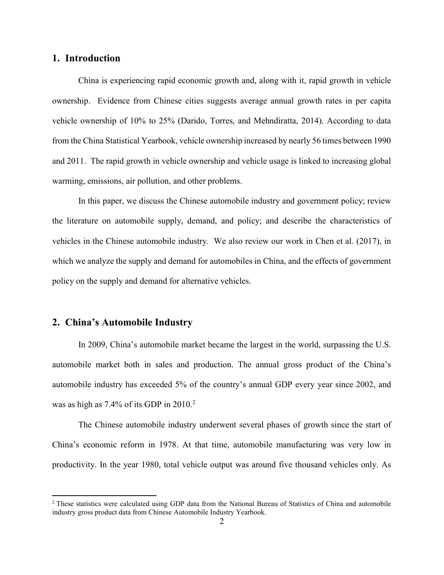## 1. Introduction

China is experiencing rapid economic growth and, along with it, rapid growth in vehicle ownership. Evidence from Chinese cities suggests average annual growth rates in per capita vehicle ownership of 10% to 25% (Darido, Torres, and Mehndiratta, 2014). According to data from the China Statistical Yearbook, vehicle ownership increased by nearly 56 times between 1990 and 2011. The rapid growth in vehicle ownership and vehicle usage is linked to increasing global warming, emissions, air pollution, and other problems.

In this paper, we discuss the Chinese automobile industry and government policy; review the literature on automobile supply, demand, and policy; and describe the characteristics of vehicles in the Chinese automobile industry. We also review our work in Chen et al. (2017), in which we analyze the supply and demand for automobiles in China, and the effects of government policy on the supply and demand for alternative vehicles.

# 2. China's Automobile Industry

In 2009, China's automobile market became the largest in the world, surpassing the U.S. automobile market both in sales and production. The annual gross product of the China's automobile industry has exceeded 5% of the country's annual GDP every year since 2002, and was as high as 7.4% of its GDP in  $2010<sup>2</sup>$ 

The Chinese automobile industry underwent several phases of growth since the start of China's economic reform in 1978. At that time, automobile manufacturing was very low in productivity. In the year 1980, total vehicle output was around five thousand vehicles only. As

<sup>&</sup>lt;sup>2</sup> These statistics were calculated using GDP data from the National Bureau of Statistics of China and automobile industry gross product data from Chinese Automobile Industry Yearbook.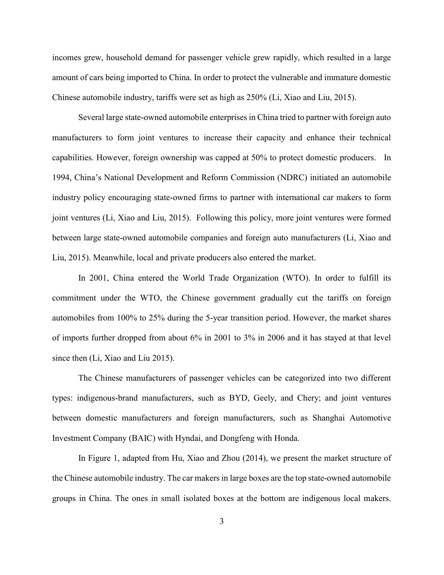incomes grew, household demand for passenger vehicle grew rapidly, which resulted in a large amount of cars being imported to China. In order to protect the vulnerable and immature domestic Chinese automobile industry, tariffs were set as high as 250% (Li, Xiao and Liu, 2015).

 Several large state-owned automobile enterprises in China tried to partner with foreign auto manufacturers to form joint ventures to increase their capacity and enhance their technical capabilities. However, foreign ownership was capped at 50% to protect domestic producers. In 1994, China's National Development and Reform Commission (NDRC) initiated an automobile industry policy encouraging state-owned firms to partner with international car makers to form joint ventures (Li, Xiao and Liu, 2015). Following this policy, more joint ventures were formed between large state-owned automobile companies and foreign auto manufacturers (Li, Xiao and Liu, 2015). Meanwhile, local and private producers also entered the market.

In 2001, China entered the World Trade Organization (WTO). In order to fulfill its commitment under the WTO, the Chinese government gradually cut the tariffs on foreign automobiles from 100% to 25% during the 5-year transition period. However, the market shares of imports further dropped from about 6% in 2001 to 3% in 2006 and it has stayed at that level since then (Li, Xiao and Liu 2015).

 The Chinese manufacturers of passenger vehicles can be categorized into two different types: indigenous-brand manufacturers, such as BYD, Geely, and Chery; and joint ventures between domestic manufacturers and foreign manufacturers, such as Shanghai Automotive Investment Company (BAIC) with Hyndai, and Dongfeng with Honda.

In Figure 1, adapted from Hu, Xiao and Zhou (2014), we present the market structure of the Chinese automobile industry. The car makers in large boxes are the top state-owned automobile groups in China. The ones in small isolated boxes at the bottom are indigenous local makers.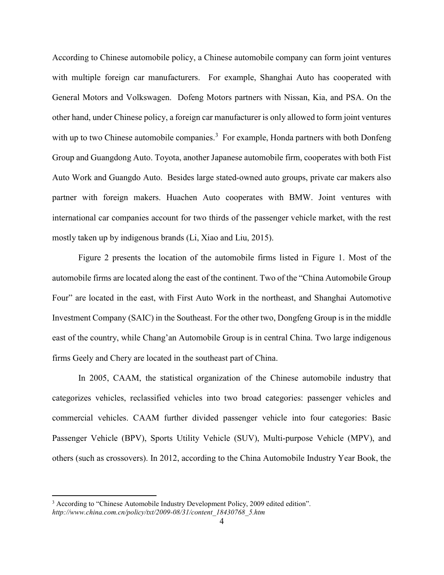According to Chinese automobile policy, a Chinese automobile company can form joint ventures with multiple foreign car manufacturers. For example, Shanghai Auto has cooperated with General Motors and Volkswagen. Dofeng Motors partners with Nissan, Kia, and PSA. On the other hand, under Chinese policy, a foreign car manufacturer is only allowed to form joint ventures with up to two Chinese automobile companies.<sup>3</sup> For example, Honda partners with both Donfeng Group and Guangdong Auto. Toyota, another Japanese automobile firm, cooperates with both Fist Auto Work and Guangdo Auto. Besides large stated-owned auto groups, private car makers also partner with foreign makers. Huachen Auto cooperates with BMW. Joint ventures with international car companies account for two thirds of the passenger vehicle market, with the rest mostly taken up by indigenous brands (Li, Xiao and Liu, 2015).

 Figure 2 presents the location of the automobile firms listed in Figure 1. Most of the automobile firms are located along the east of the continent. Two of the "China Automobile Group Four" are located in the east, with First Auto Work in the northeast, and Shanghai Automotive Investment Company (SAIC) in the Southeast. For the other two, Dongfeng Group is in the middle east of the country, while Chang'an Automobile Group is in central China. Two large indigenous firms Geely and Chery are located in the southeast part of China.

 In 2005, CAAM, the statistical organization of the Chinese automobile industry that categorizes vehicles, reclassified vehicles into two broad categories: passenger vehicles and commercial vehicles. CAAM further divided passenger vehicle into four categories: Basic Passenger Vehicle (BPV), Sports Utility Vehicle (SUV), Multi-purpose Vehicle (MPV), and others (such as crossovers). In 2012, according to the China Automobile Industry Year Book, the

<sup>&</sup>lt;sup>3</sup> According to "Chinese Automobile Industry Development Policy, 2009 edited edition". http://www.china.com.cn/policy/txt/2009-08/31/content\_18430768\_5.htm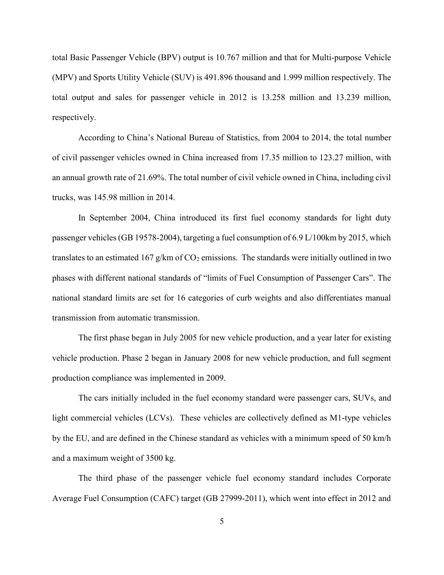total Basic Passenger Vehicle (BPV) output is 10.767 million and that for Multi-purpose Vehicle (MPV) and Sports Utility Vehicle (SUV) is 491.896 thousand and 1.999 million respectively. The total output and sales for passenger vehicle in 2012 is 13.258 million and 13.239 million, respectively.

 According to China's National Bureau of Statistics, from 2004 to 2014, the total number of civil passenger vehicles owned in China increased from 17.35 million to 123.27 million, with an annual growth rate of 21.69%. The total number of civil vehicle owned in China, including civil trucks, was 145.98 million in 2014.

In September 2004, China introduced its first fuel economy standards for light duty passenger vehicles (GB 19578-2004), targeting a fuel consumption of 6.9 L/100km by 2015, which translates to an estimated 167 g/km of  $CO<sub>2</sub>$  emissions. The standards were initially outlined in two phases with different national standards of "limits of Fuel Consumption of Passenger Cars". The national standard limits are set for 16 categories of curb weights and also differentiates manual transmission from automatic transmission.

 The first phase began in July 2005 for new vehicle production, and a year later for existing vehicle production. Phase 2 began in January 2008 for new vehicle production, and full segment production compliance was implemented in 2009.

 The cars initially included in the fuel economy standard were passenger cars, SUVs, and light commercial vehicles (LCVs). These vehicles are collectively defined as M1-type vehicles by the EU, and are defined in the Chinese standard as vehicles with a minimum speed of 50 km/h and a maximum weight of 3500 kg.

 The third phase of the passenger vehicle fuel economy standard includes Corporate Average Fuel Consumption (CAFC) target (GB 27999-2011), which went into effect in 2012 and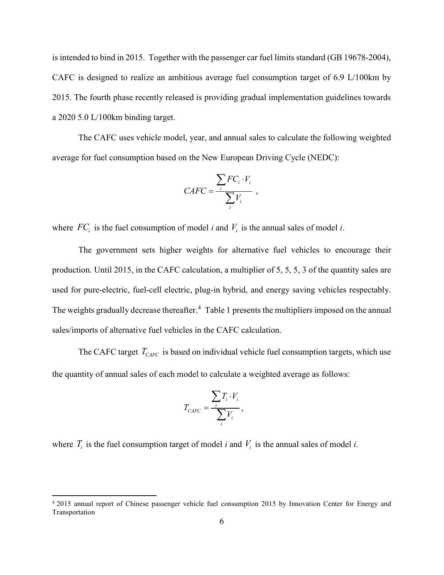is intended to bind in 2015. Together with the passenger car fuel limits standard (GB 19678-2004), CAFC is designed to realize an ambitious average fuel consumption target of 6.9 L/100km by 2015. The fourth phase recently released is providing gradual implementation guidelines towards a 2020 5.0 L/100km binding target.

 The CAFC uses vehicle model, year, and annual sales to calculate the following weighted average for fuel consumption based on the New European Driving Cycle (NEDC):

$$
CAFC = \frac{\sum_i FC_i \cdot V_i}{\sum_i V_i} ,
$$

where  $FC_i$  is the fuel consumption of model *i* and  $V_i$  is the annual sales of model *i*.

 The government sets higher weights for alternative fuel vehicles to encourage their production. Until 2015, in the CAFC calculation, a multiplier of 5, 5, 5, 3 of the quantity sales are used for pure-electric, fuel-cell electric, plug-in hybrid, and energy saving vehicles respectably. The weights gradually decrease thereafter.<sup>4</sup> Table 1 presents the multipliers imposed on the annual sales/imports of alternative fuel vehicles in the CAFC calculation.

The CAFC target  $T_{CAFC}$  is based on individual vehicle fuel consumption targets, which use the quantity of annual sales of each model to calculate a weighted average as follows:

$$
T_{CAFC} = \frac{\sum_{i} T_i \cdot V_i}{\sum_{i} V_i},
$$

where  $T_i$  is the fuel consumption target of model *i* and  $V_i$  is the annual sales of model *i*.

<sup>4</sup> 2015 annual report of Chinese passenger vehicle fuel consumption 2015 by Innovation Center for Energy and Transportation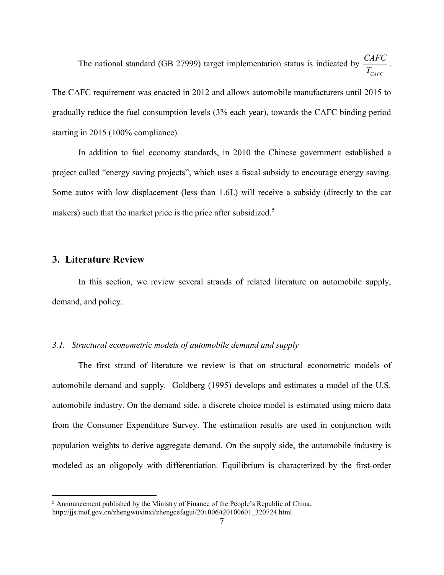The national standard (GB 27999) target implementation status is indicated by CAFC CAFC  $T_{c}$ .

The CAFC requirement was enacted in 2012 and allows automobile manufacturers until 2015 to gradually reduce the fuel consumption levels (3% each year), towards the CAFC binding period starting in 2015 (100% compliance).

 In addition to fuel economy standards, in 2010 the Chinese government established a project called "energy saving projects", which uses a fiscal subsidy to encourage energy saving. Some autos with low displacement (less than 1.6L) will receive a subsidy (directly to the car makers) such that the market price is the price after subsidized.<sup>5</sup>

## 3. Literature Review

In this section, we review several strands of related literature on automobile supply, demand, and policy.

### 3.1. Structural econometric models of automobile demand and supply

 The first strand of literature we review is that on structural econometric models of automobile demand and supply. Goldberg (1995) develops and estimates a model of the U.S. automobile industry. On the demand side, a discrete choice model is estimated using micro data from the Consumer Expenditure Survey. The estimation results are used in conjunction with population weights to derive aggregate demand. On the supply side, the automobile industry is modeled as an oligopoly with differentiation. Equilibrium is characterized by the first-order

<sup>&</sup>lt;sup>5</sup> Announcement published by the Ministry of Finance of the People's Republic of China. http://jjs.mof.gov.cn/zhengwuxinxi/zhengcefagui/201006/t20100601\_320724.html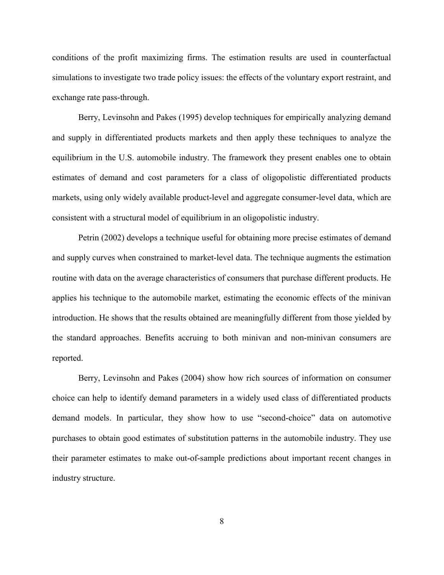conditions of the profit maximizing firms. The estimation results are used in counterfactual simulations to investigate two trade policy issues: the effects of the voluntary export restraint, and exchange rate pass-through.

Berry, Levinsohn and Pakes (1995) develop techniques for empirically analyzing demand and supply in differentiated products markets and then apply these techniques to analyze the equilibrium in the U.S. automobile industry. The framework they present enables one to obtain estimates of demand and cost parameters for a class of oligopolistic differentiated products markets, using only widely available product-level and aggregate consumer-level data, which are consistent with a structural model of equilibrium in an oligopolistic industry.

Petrin (2002) develops a technique useful for obtaining more precise estimates of demand and supply curves when constrained to market-level data. The technique augments the estimation routine with data on the average characteristics of consumers that purchase different products. He applies his technique to the automobile market, estimating the economic effects of the minivan introduction. He shows that the results obtained are meaningfully different from those yielded by the standard approaches. Benefits accruing to both minivan and non-minivan consumers are reported.

 Berry, Levinsohn and Pakes (2004) show how rich sources of information on consumer choice can help to identify demand parameters in a widely used class of differentiated products demand models. In particular, they show how to use "second-choice" data on automotive purchases to obtain good estimates of substitution patterns in the automobile industry. They use their parameter estimates to make out-of-sample predictions about important recent changes in industry structure.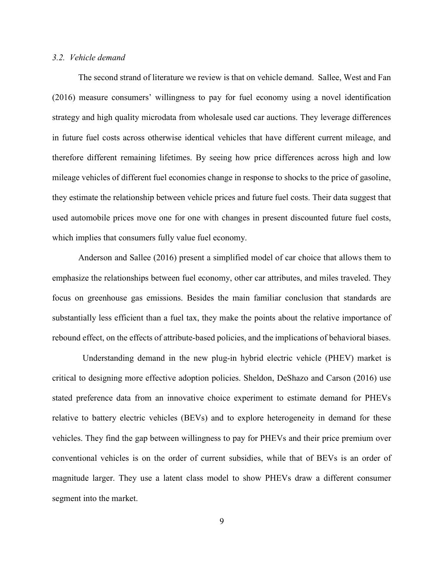### 3.2. Vehicle demand

The second strand of literature we review is that on vehicle demand. Sallee, West and Fan (2016) measure consumers' willingness to pay for fuel economy using a novel identification strategy and high quality microdata from wholesale used car auctions. They leverage differences in future fuel costs across otherwise identical vehicles that have different current mileage, and therefore different remaining lifetimes. By seeing how price differences across high and low mileage vehicles of different fuel economies change in response to shocks to the price of gasoline, they estimate the relationship between vehicle prices and future fuel costs. Their data suggest that used automobile prices move one for one with changes in present discounted future fuel costs, which implies that consumers fully value fuel economy.

Anderson and Sallee (2016) present a simplified model of car choice that allows them to emphasize the relationships between fuel economy, other car attributes, and miles traveled. They focus on greenhouse gas emissions. Besides the main familiar conclusion that standards are substantially less efficient than a fuel tax, they make the points about the relative importance of rebound effect, on the effects of attribute-based policies, and the implications of behavioral biases.

 Understanding demand in the new plug-in hybrid electric vehicle (PHEV) market is critical to designing more effective adoption policies. Sheldon, DeShazo and Carson (2016) use stated preference data from an innovative choice experiment to estimate demand for PHEVs relative to battery electric vehicles (BEVs) and to explore heterogeneity in demand for these vehicles. They find the gap between willingness to pay for PHEVs and their price premium over conventional vehicles is on the order of current subsidies, while that of BEVs is an order of magnitude larger. They use a latent class model to show PHEVs draw a different consumer segment into the market.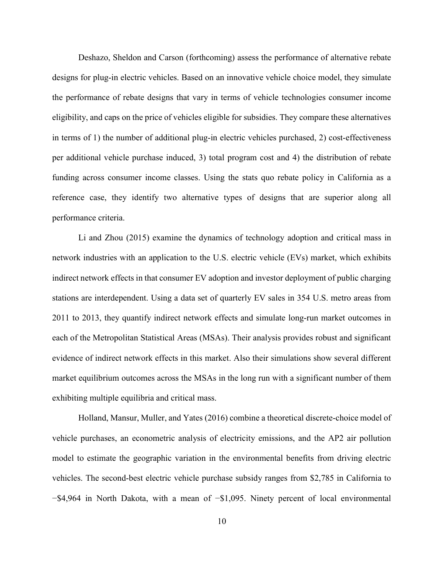Deshazo, Sheldon and Carson (forthcoming) assess the performance of alternative rebate designs for plug-in electric vehicles. Based on an innovative vehicle choice model, they simulate the performance of rebate designs that vary in terms of vehicle technologies consumer income eligibility, and caps on the price of vehicles eligible for subsidies. They compare these alternatives in terms of 1) the number of additional plug-in electric vehicles purchased, 2) cost-effectiveness per additional vehicle purchase induced, 3) total program cost and 4) the distribution of rebate funding across consumer income classes. Using the stats quo rebate policy in California as a reference case, they identify two alternative types of designs that are superior along all performance criteria.

 Li and Zhou (2015) examine the dynamics of technology adoption and critical mass in network industries with an application to the U.S. electric vehicle (EVs) market, which exhibits indirect network effects in that consumer EV adoption and investor deployment of public charging stations are interdependent. Using a data set of quarterly EV sales in 354 U.S. metro areas from 2011 to 2013, they quantify indirect network effects and simulate long-run market outcomes in each of the Metropolitan Statistical Areas (MSAs). Their analysis provides robust and significant evidence of indirect network effects in this market. Also their simulations show several different market equilibrium outcomes across the MSAs in the long run with a significant number of them exhibiting multiple equilibria and critical mass.

Holland, Mansur, Muller, and Yates (2016) combine a theoretical discrete-choice model of vehicle purchases, an econometric analysis of electricity emissions, and the AP2 air pollution model to estimate the geographic variation in the environmental benefits from driving electric vehicles. The second-best electric vehicle purchase subsidy ranges from \$2,785 in California to −\$4,964 in North Dakota, with a mean of −\$1,095. Ninety percent of local environmental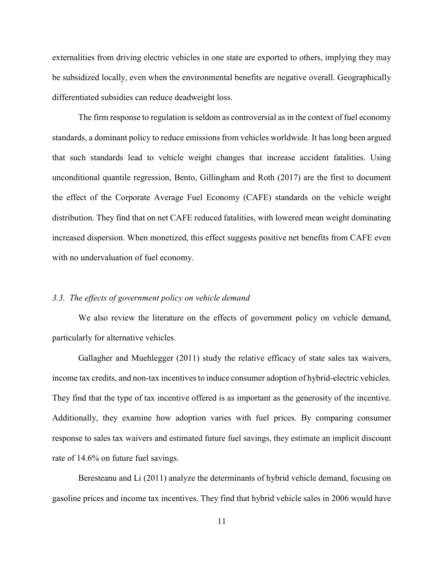externalities from driving electric vehicles in one state are exported to others, implying they may be subsidized locally, even when the environmental benefits are negative overall. Geographically differentiated subsidies can reduce deadweight loss.

The firm response to regulation is seldom as controversial as in the context of fuel economy standards, a dominant policy to reduce emissions from vehicles worldwide. It has long been argued that such standards lead to vehicle weight changes that increase accident fatalities. Using unconditional quantile regression, Bento, Gillingham and Roth (2017) are the first to document the effect of the Corporate Average Fuel Economy (CAFE) standards on the vehicle weight distribution. They find that on net CAFE reduced fatalities, with lowered mean weight dominating increased dispersion. When monetized, this effect suggests positive net benefits from CAFE even with no undervaluation of fuel economy.

#### 3.3. The effects of government policy on vehicle demand

 We also review the literature on the effects of government policy on vehicle demand, particularly for alternative vehicles.

Gallagher and Muehlegger (2011) study the relative efficacy of state sales tax waivers, income tax credits, and non-tax incentives to induce consumer adoption of hybrid-electric vehicles. They find that the type of tax incentive offered is as important as the generosity of the incentive. Additionally, they examine how adoption varies with fuel prices. By comparing consumer response to sales tax waivers and estimated future fuel savings, they estimate an implicit discount rate of 14.6% on future fuel savings.

 Beresteanu and Li (2011) analyze the determinants of hybrid vehicle demand, focusing on gasoline prices and income tax incentives. They find that hybrid vehicle sales in 2006 would have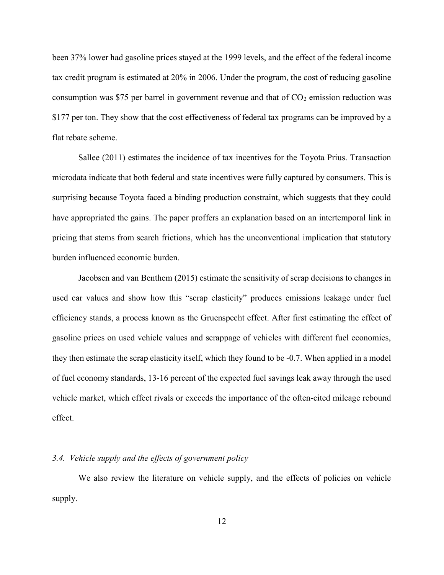been 37% lower had gasoline prices stayed at the 1999 levels, and the effect of the federal income tax credit program is estimated at 20% in 2006. Under the program, the cost of reducing gasoline consumption was \$75 per barrel in government revenue and that of  $CO<sub>2</sub>$  emission reduction was \$177 per ton. They show that the cost effectiveness of federal tax programs can be improved by a flat rebate scheme.

 Sallee (2011) estimates the incidence of tax incentives for the Toyota Prius. Transaction microdata indicate that both federal and state incentives were fully captured by consumers. This is surprising because Toyota faced a binding production constraint, which suggests that they could have appropriated the gains. The paper proffers an explanation based on an intertemporal link in pricing that stems from search frictions, which has the unconventional implication that statutory burden influenced economic burden.

Jacobsen and van Benthem (2015) estimate the sensitivity of scrap decisions to changes in used car values and show how this "scrap elasticity" produces emissions leakage under fuel efficiency stands, a process known as the Gruenspecht effect. After first estimating the effect of gasoline prices on used vehicle values and scrappage of vehicles with different fuel economies, they then estimate the scrap elasticity itself, which they found to be -0.7. When applied in a model of fuel economy standards, 13-16 percent of the expected fuel savings leak away through the used vehicle market, which effect rivals or exceeds the importance of the often-cited mileage rebound effect.

#### 3.4. Vehicle supply and the effects of government policy

We also review the literature on vehicle supply, and the effects of policies on vehicle supply.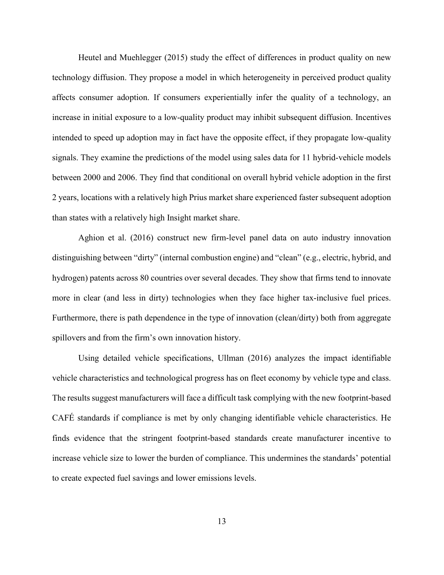Heutel and Muehlegger (2015) study the effect of differences in product quality on new technology diffusion. They propose a model in which heterogeneity in perceived product quality affects consumer adoption. If consumers experientially infer the quality of a technology, an increase in initial exposure to a low-quality product may inhibit subsequent diffusion. Incentives intended to speed up adoption may in fact have the opposite effect, if they propagate low-quality signals. They examine the predictions of the model using sales data for 11 hybrid-vehicle models between 2000 and 2006. They find that conditional on overall hybrid vehicle adoption in the first 2 years, locations with a relatively high Prius market share experienced faster subsequent adoption than states with a relatively high Insight market share.

 Aghion et al. (2016) construct new firm-level panel data on auto industry innovation distinguishing between "dirty" (internal combustion engine) and "clean" (e.g., electric, hybrid, and hydrogen) patents across 80 countries over several decades. They show that firms tend to innovate more in clear (and less in dirty) technologies when they face higher tax-inclusive fuel prices. Furthermore, there is path dependence in the type of innovation (clean/dirty) both from aggregate spillovers and from the firm's own innovation history.

Using detailed vehicle specifications, Ullman (2016) analyzes the impact identifiable vehicle characteristics and technological progress has on fleet economy by vehicle type and class. The results suggest manufacturers will face a difficult task complying with the new footprint-based CAFÉ standards if compliance is met by only changing identifiable vehicle characteristics. He finds evidence that the stringent footprint-based standards create manufacturer incentive to increase vehicle size to lower the burden of compliance. This undermines the standards' potential to create expected fuel savings and lower emissions levels.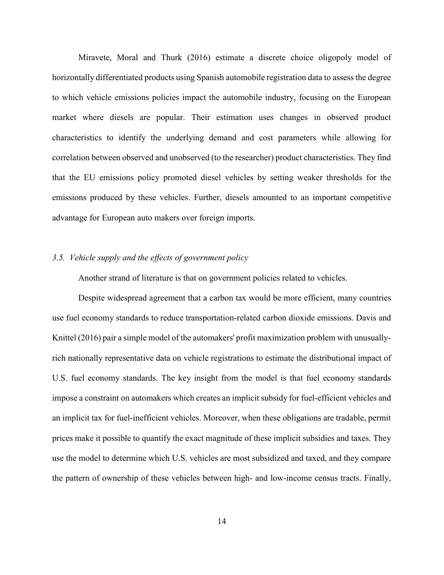Miravete, Moral and Thurk (2016) estimate a discrete choice oligopoly model of horizontally differentiated products using Spanish automobile registration data to assess the degree to which vehicle emissions policies impact the automobile industry, focusing on the European market where diesels are popular. Their estimation uses changes in observed product characteristics to identify the underlying demand and cost parameters while allowing for correlation between observed and unobserved (to the researcher) product characteristics. They find that the EU emissions policy promoted diesel vehicles by setting weaker thresholds for the emissions produced by these vehicles. Further, diesels amounted to an important competitive advantage for European auto makers over foreign imports.

## 3.5. Vehicle supply and the effects of government policy

Another strand of literature is that on government policies related to vehicles.

Despite widespread agreement that a carbon tax would be more efficient, many countries use fuel economy standards to reduce transportation-related carbon dioxide emissions. Davis and Knittel (2016) pair a simple model of the automakers' profit maximization problem with unusuallyrich nationally representative data on vehicle registrations to estimate the distributional impact of U.S. fuel economy standards. The key insight from the model is that fuel economy standards impose a constraint on automakers which creates an implicit subsidy for fuel-efficient vehicles and an implicit tax for fuel-inefficient vehicles. Moreover, when these obligations are tradable, permit prices make it possible to quantify the exact magnitude of these implicit subsidies and taxes. They use the model to determine which U.S. vehicles are most subsidized and taxed, and they compare the pattern of ownership of these vehicles between high- and low-income census tracts. Finally,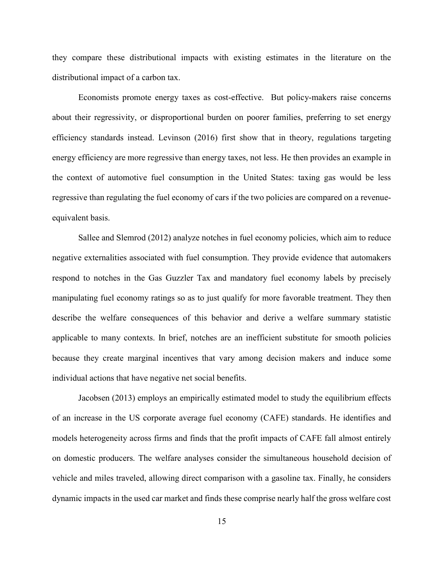they compare these distributional impacts with existing estimates in the literature on the distributional impact of a carbon tax.

Economists promote energy taxes as cost-effective. But policy-makers raise concerns about their regressivity, or disproportional burden on poorer families, preferring to set energy efficiency standards instead. Levinson (2016) first show that in theory, regulations targeting energy efficiency are more regressive than energy taxes, not less. He then provides an example in the context of automotive fuel consumption in the United States: taxing gas would be less regressive than regulating the fuel economy of cars if the two policies are compared on a revenueequivalent basis.

Sallee and Slemrod (2012) analyze notches in fuel economy policies, which aim to reduce negative externalities associated with fuel consumption. They provide evidence that automakers respond to notches in the Gas Guzzler Tax and mandatory fuel economy labels by precisely manipulating fuel economy ratings so as to just qualify for more favorable treatment. They then describe the welfare consequences of this behavior and derive a welfare summary statistic applicable to many contexts. In brief, notches are an inefficient substitute for smooth policies because they create marginal incentives that vary among decision makers and induce some individual actions that have negative net social benefits.

Jacobsen (2013) employs an empirically estimated model to study the equilibrium effects of an increase in the US corporate average fuel economy (CAFE) standards. He identifies and models heterogeneity across firms and finds that the profit impacts of CAFE fall almost entirely on domestic producers. The welfare analyses consider the simultaneous household decision of vehicle and miles traveled, allowing direct comparison with a gasoline tax. Finally, he considers dynamic impacts in the used car market and finds these comprise nearly half the gross welfare cost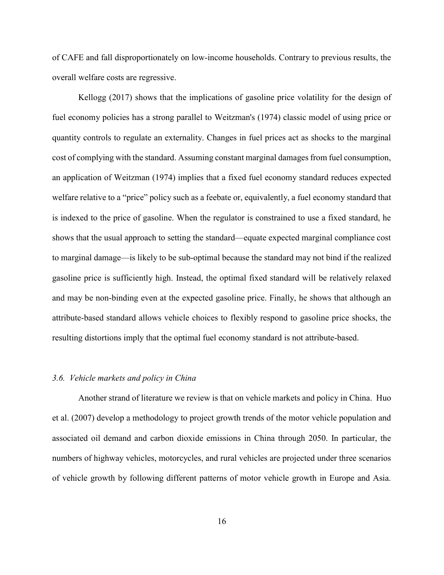of CAFE and fall disproportionately on low-income households. Contrary to previous results, the overall welfare costs are regressive.

Kellogg (2017) shows that the implications of gasoline price volatility for the design of fuel economy policies has a strong parallel to Weitzman's (1974) classic model of using price or quantity controls to regulate an externality. Changes in fuel prices act as shocks to the marginal cost of complying with the standard. Assuming constant marginal damages from fuel consumption, an application of Weitzman (1974) implies that a fixed fuel economy standard reduces expected welfare relative to a "price" policy such as a feebate or, equivalently, a fuel economy standard that is indexed to the price of gasoline. When the regulator is constrained to use a fixed standard, he shows that the usual approach to setting the standard—equate expected marginal compliance cost to marginal damage—is likely to be sub-optimal because the standard may not bind if the realized gasoline price is sufficiently high. Instead, the optimal fixed standard will be relatively relaxed and may be non-binding even at the expected gasoline price. Finally, he shows that although an attribute-based standard allows vehicle choices to flexibly respond to gasoline price shocks, the resulting distortions imply that the optimal fuel economy standard is not attribute-based.

#### 3.6. Vehicle markets and policy in China

 Another strand of literature we review is that on vehicle markets and policy in China. Huo et al. (2007) develop a methodology to project growth trends of the motor vehicle population and associated oil demand and carbon dioxide emissions in China through 2050. In particular, the numbers of highway vehicles, motorcycles, and rural vehicles are projected under three scenarios of vehicle growth by following different patterns of motor vehicle growth in Europe and Asia.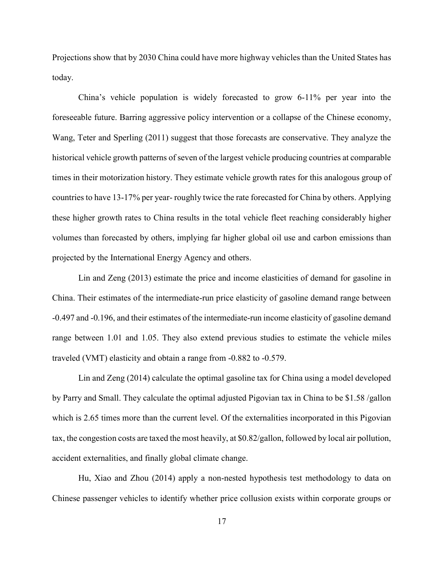Projections show that by 2030 China could have more highway vehicles than the United States has today.

 China's vehicle population is widely forecasted to grow 6-11% per year into the foreseeable future. Barring aggressive policy intervention or a collapse of the Chinese economy, Wang, Teter and Sperling (2011) suggest that those forecasts are conservative. They analyze the historical vehicle growth patterns of seven of the largest vehicle producing countries at comparable times in their motorization history. They estimate vehicle growth rates for this analogous group of countries to have 13-17% per year- roughly twice the rate forecasted for China by others. Applying these higher growth rates to China results in the total vehicle fleet reaching considerably higher volumes than forecasted by others, implying far higher global oil use and carbon emissions than projected by the International Energy Agency and others.

Lin and Zeng (2013) estimate the price and income elasticities of demand for gasoline in China. Their estimates of the intermediate-run price elasticity of gasoline demand range between -0.497 and -0.196, and their estimates of the intermediate-run income elasticity of gasoline demand range between 1.01 and 1.05. They also extend previous studies to estimate the vehicle miles traveled (VMT) elasticity and obtain a range from -0.882 to -0.579.

Lin and Zeng (2014) calculate the optimal gasoline tax for China using a model developed by Parry and Small. They calculate the optimal adjusted Pigovian tax in China to be \$1.58 /gallon which is 2.65 times more than the current level. Of the externalities incorporated in this Pigovian tax, the congestion costs are taxed the most heavily, at \$0.82/gallon, followed by local air pollution, accident externalities, and finally global climate change.

Hu, Xiao and Zhou (2014) apply a non-nested hypothesis test methodology to data on Chinese passenger vehicles to identify whether price collusion exists within corporate groups or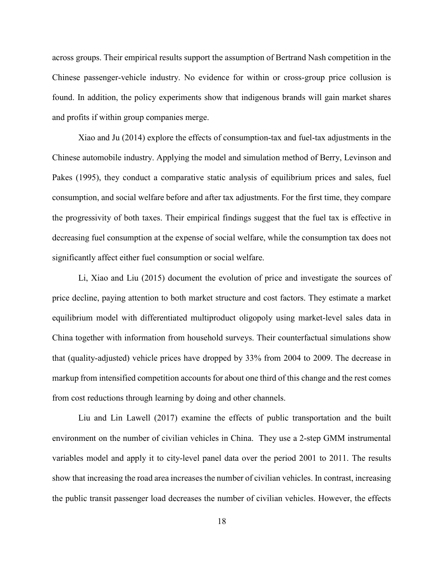across groups. Their empirical results support the assumption of Bertrand Nash competition in the Chinese passenger-vehicle industry. No evidence for within or cross-group price collusion is found. In addition, the policy experiments show that indigenous brands will gain market shares and profits if within group companies merge.

Xiao and Ju (2014) explore the effects of consumption-tax and fuel-tax adjustments in the Chinese automobile industry. Applying the model and simulation method of Berry, Levinson and Pakes (1995), they conduct a comparative static analysis of equilibrium prices and sales, fuel consumption, and social welfare before and after tax adjustments. For the first time, they compare the progressivity of both taxes. Their empirical findings suggest that the fuel tax is effective in decreasing fuel consumption at the expense of social welfare, while the consumption tax does not significantly affect either fuel consumption or social welfare.

Li, Xiao and Liu (2015) document the evolution of price and investigate the sources of price decline, paying attention to both market structure and cost factors. They estimate a market equilibrium model with differentiated multiproduct oligopoly using market-level sales data in China together with information from household surveys. Their counterfactual simulations show that (quality-adjusted) vehicle prices have dropped by 33% from 2004 to 2009. The decrease in markup from intensified competition accounts for about one third of this change and the rest comes from cost reductions through learning by doing and other channels.

 Liu and Lin Lawell (2017) examine the effects of public transportation and the built environment on the number of civilian vehicles in China. They use a 2-step GMM instrumental variables model and apply it to city-level panel data over the period 2001 to 2011. The results show that increasing the road area increases the number of civilian vehicles. In contrast, increasing the public transit passenger load decreases the number of civilian vehicles. However, the effects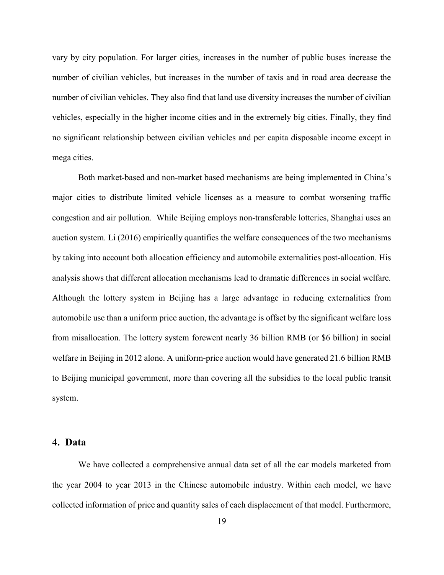vary by city population. For larger cities, increases in the number of public buses increase the number of civilian vehicles, but increases in the number of taxis and in road area decrease the number of civilian vehicles. They also find that land use diversity increases the number of civilian vehicles, especially in the higher income cities and in the extremely big cities. Finally, they find no significant relationship between civilian vehicles and per capita disposable income except in mega cities.

Both market-based and non-market based mechanisms are being implemented in China's major cities to distribute limited vehicle licenses as a measure to combat worsening traffic congestion and air pollution. While Beijing employs non-transferable lotteries, Shanghai uses an auction system. Li (2016) empirically quantifies the welfare consequences of the two mechanisms by taking into account both allocation efficiency and automobile externalities post-allocation. His analysis shows that different allocation mechanisms lead to dramatic differences in social welfare. Although the lottery system in Beijing has a large advantage in reducing externalities from automobile use than a uniform price auction, the advantage is offset by the significant welfare loss from misallocation. The lottery system forewent nearly 36 billion RMB (or \$6 billion) in social welfare in Beijing in 2012 alone. A uniform-price auction would have generated 21.6 billion RMB to Beijing municipal government, more than covering all the subsidies to the local public transit system.

## 4. Data

We have collected a comprehensive annual data set of all the car models marketed from the year 2004 to year 2013 in the Chinese automobile industry. Within each model, we have collected information of price and quantity sales of each displacement of that model. Furthermore,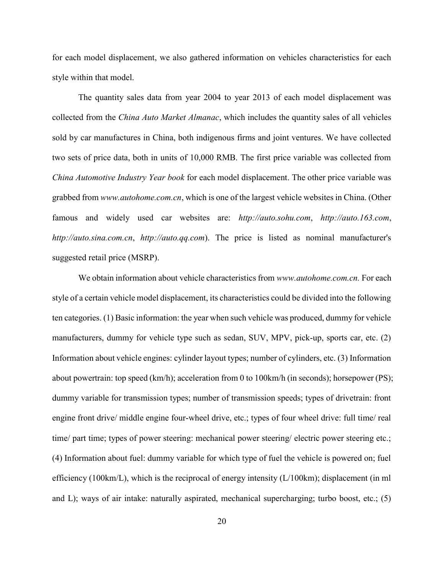for each model displacement, we also gathered information on vehicles characteristics for each style within that model.

The quantity sales data from year 2004 to year 2013 of each model displacement was collected from the China Auto Market Almanac, which includes the quantity sales of all vehicles sold by car manufactures in China, both indigenous firms and joint ventures. We have collected two sets of price data, both in units of 10,000 RMB. The first price variable was collected from China Automotive Industry Year book for each model displacement. The other price variable was grabbed from www.autohome.com.cn, which is one of the largest vehicle websites in China. (Other famous and widely used car websites are: http://auto.sohu.com, http://auto.163.com, http://auto.sina.com.cn, http://auto.qq.com). The price is listed as nominal manufacturer's suggested retail price (MSRP).

We obtain information about vehicle characteristics from www.*autohome.com.cn*. For each style of a certain vehicle model displacement, its characteristics could be divided into the following ten categories. (1) Basic information: the year when such vehicle was produced, dummy for vehicle manufacturers, dummy for vehicle type such as sedan, SUV, MPV, pick-up, sports car, etc. (2) Information about vehicle engines: cylinder layout types; number of cylinders, etc. (3) Information about powertrain: top speed (km/h); acceleration from 0 to 100km/h (in seconds); horsepower (PS); dummy variable for transmission types; number of transmission speeds; types of drivetrain: front engine front drive/ middle engine four-wheel drive, etc.; types of four wheel drive: full time/ real time/ part time; types of power steering: mechanical power steering/ electric power steering etc.; (4) Information about fuel: dummy variable for which type of fuel the vehicle is powered on; fuel efficiency (100km/L), which is the reciprocal of energy intensity  $(L/100km)$ ; displacement (in ml and L); ways of air intake: naturally aspirated, mechanical supercharging; turbo boost, etc.; (5)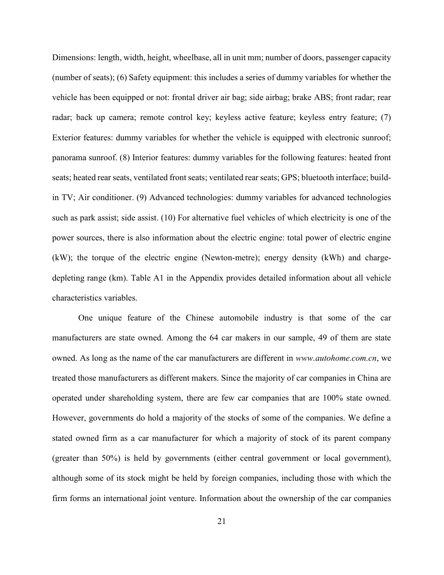Dimensions: length, width, height, wheelbase, all in unit mm; number of doors, passenger capacity (number of seats); (6) Safety equipment: this includes a series of dummy variables for whether the vehicle has been equipped or not: frontal driver air bag; side airbag; brake ABS; front radar; rear radar; back up camera; remote control key; keyless active feature; keyless entry feature; (7) Exterior features: dummy variables for whether the vehicle is equipped with electronic sunroof; panorama sunroof. (8) Interior features: dummy variables for the following features: heated front seats; heated rear seats, ventilated front seats; ventilated rear seats; GPS; bluetooth interface; buildin TV; Air conditioner. (9) Advanced technologies: dummy variables for advanced technologies such as park assist; side assist. (10) For alternative fuel vehicles of which electricity is one of the power sources, there is also information about the electric engine: total power of electric engine (kW); the torque of the electric engine (Newton-metre); energy density (kWh) and chargedepleting range (km). Table A1 in the Appendix provides detailed information about all vehicle characteristics variables.

One unique feature of the Chinese automobile industry is that some of the car manufacturers are state owned. Among the 64 car makers in our sample, 49 of them are state owned. As long as the name of the car manufacturers are different in www.autohome.com.cn, we treated those manufacturers as different makers. Since the majority of car companies in China are operated under shareholding system, there are few car companies that are 100% state owned. However, governments do hold a majority of the stocks of some of the companies. We define a stated owned firm as a car manufacturer for which a majority of stock of its parent company (greater than 50%) is held by governments (either central government or local government), although some of its stock might be held by foreign companies, including those with which the firm forms an international joint venture. Information about the ownership of the car companies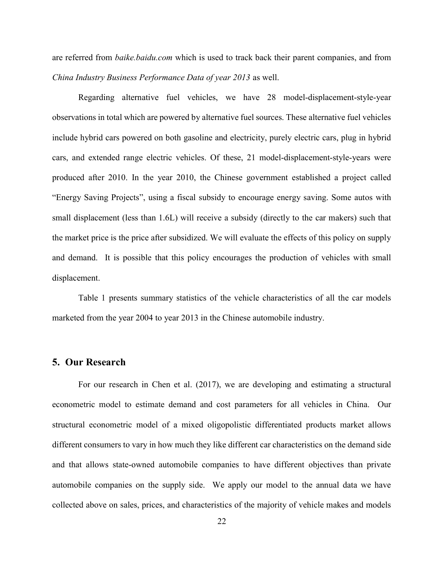are referred from *baike.baidu.com* which is used to track back their parent companies, and from China Industry Business Performance Data of year 2013 as well.

Regarding alternative fuel vehicles, we have 28 model-displacement-style-year observations in total which are powered by alternative fuel sources. These alternative fuel vehicles include hybrid cars powered on both gasoline and electricity, purely electric cars, plug in hybrid cars, and extended range electric vehicles. Of these, 21 model-displacement-style-years were produced after 2010. In the year 2010, the Chinese government established a project called "Energy Saving Projects", using a fiscal subsidy to encourage energy saving. Some autos with small displacement (less than 1.6L) will receive a subsidy (directly to the car makers) such that the market price is the price after subsidized. We will evaluate the effects of this policy on supply and demand. It is possible that this policy encourages the production of vehicles with small displacement.

Table 1 presents summary statistics of the vehicle characteristics of all the car models marketed from the year 2004 to year 2013 in the Chinese automobile industry.

## 5. Our Research

For our research in Chen et al. (2017), we are developing and estimating a structural econometric model to estimate demand and cost parameters for all vehicles in China. Our structural econometric model of a mixed oligopolistic differentiated products market allows different consumers to vary in how much they like different car characteristics on the demand side and that allows state-owned automobile companies to have different objectives than private automobile companies on the supply side. We apply our model to the annual data we have collected above on sales, prices, and characteristics of the majority of vehicle makes and models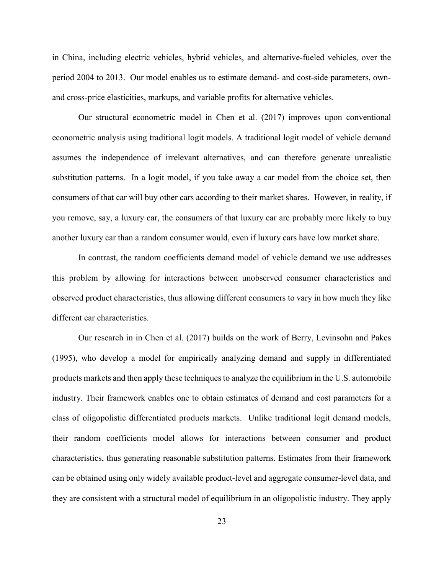in China, including electric vehicles, hybrid vehicles, and alternative-fueled vehicles, over the period 2004 to 2013. Our model enables us to estimate demand- and cost-side parameters, ownand cross-price elasticities, markups, and variable profits for alternative vehicles.

Our structural econometric model in Chen et al. (2017) improves upon conventional econometric analysis using traditional logit models. A traditional logit model of vehicle demand assumes the independence of irrelevant alternatives, and can therefore generate unrealistic substitution patterns. In a logit model, if you take away a car model from the choice set, then consumers of that car will buy other cars according to their market shares. However, in reality, if you remove, say, a luxury car, the consumers of that luxury car are probably more likely to buy another luxury car than a random consumer would, even if luxury cars have low market share.

In contrast, the random coefficients demand model of vehicle demand we use addresses this problem by allowing for interactions between unobserved consumer characteristics and observed product characteristics, thus allowing different consumers to vary in how much they like different car characteristics.

Our research in in Chen et al. (2017) builds on the work of Berry, Levinsohn and Pakes (1995), who develop a model for empirically analyzing demand and supply in differentiated products markets and then apply these techniques to analyze the equilibrium in the U.S. automobile industry. Their framework enables one to obtain estimates of demand and cost parameters for a class of oligopolistic differentiated products markets. Unlike traditional logit demand models, their random coefficients model allows for interactions between consumer and product characteristics, thus generating reasonable substitution patterns. Estimates from their framework can be obtained using only widely available product-level and aggregate consumer-level data, and they are consistent with a structural model of equilibrium in an oligopolistic industry. They apply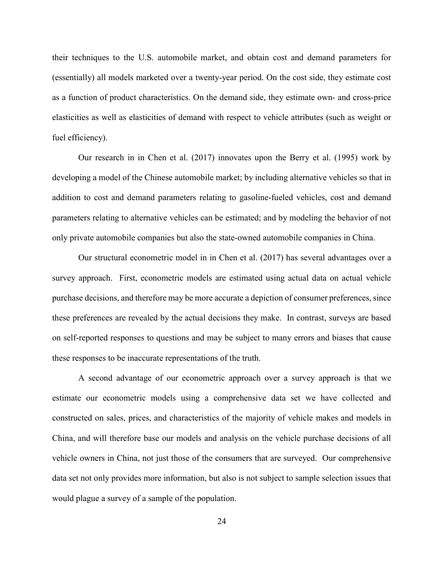their techniques to the U.S. automobile market, and obtain cost and demand parameters for (essentially) all models marketed over a twenty-year period. On the cost side, they estimate cost as a function of product characteristics. On the demand side, they estimate own- and cross-price elasticities as well as elasticities of demand with respect to vehicle attributes (such as weight or fuel efficiency).

Our research in in Chen et al. (2017) innovates upon the Berry et al. (1995) work by developing a model of the Chinese automobile market; by including alternative vehicles so that in addition to cost and demand parameters relating to gasoline-fueled vehicles, cost and demand parameters relating to alternative vehicles can be estimated; and by modeling the behavior of not only private automobile companies but also the state-owned automobile companies in China.

Our structural econometric model in in Chen et al. (2017) has several advantages over a survey approach. First, econometric models are estimated using actual data on actual vehicle purchase decisions, and therefore may be more accurate a depiction of consumer preferences, since these preferences are revealed by the actual decisions they make. In contrast, surveys are based on self-reported responses to questions and may be subject to many errors and biases that cause these responses to be inaccurate representations of the truth.

A second advantage of our econometric approach over a survey approach is that we estimate our econometric models using a comprehensive data set we have collected and constructed on sales, prices, and characteristics of the majority of vehicle makes and models in China, and will therefore base our models and analysis on the vehicle purchase decisions of all vehicle owners in China, not just those of the consumers that are surveyed. Our comprehensive data set not only provides more information, but also is not subject to sample selection issues that would plague a survey of a sample of the population.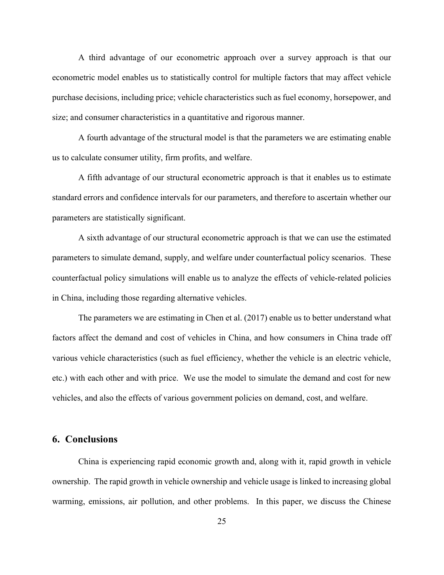A third advantage of our econometric approach over a survey approach is that our econometric model enables us to statistically control for multiple factors that may affect vehicle purchase decisions, including price; vehicle characteristics such as fuel economy, horsepower, and size; and consumer characteristics in a quantitative and rigorous manner.

A fourth advantage of the structural model is that the parameters we are estimating enable us to calculate consumer utility, firm profits, and welfare.

A fifth advantage of our structural econometric approach is that it enables us to estimate standard errors and confidence intervals for our parameters, and therefore to ascertain whether our parameters are statistically significant.

A sixth advantage of our structural econometric approach is that we can use the estimated parameters to simulate demand, supply, and welfare under counterfactual policy scenarios. These counterfactual policy simulations will enable us to analyze the effects of vehicle-related policies in China, including those regarding alternative vehicles.

The parameters we are estimating in Chen et al. (2017) enable us to better understand what factors affect the demand and cost of vehicles in China, and how consumers in China trade off various vehicle characteristics (such as fuel efficiency, whether the vehicle is an electric vehicle, etc.) with each other and with price. We use the model to simulate the demand and cost for new vehicles, and also the effects of various government policies on demand, cost, and welfare.

## 6. Conclusions

China is experiencing rapid economic growth and, along with it, rapid growth in vehicle ownership. The rapid growth in vehicle ownership and vehicle usage is linked to increasing global warming, emissions, air pollution, and other problems. In this paper, we discuss the Chinese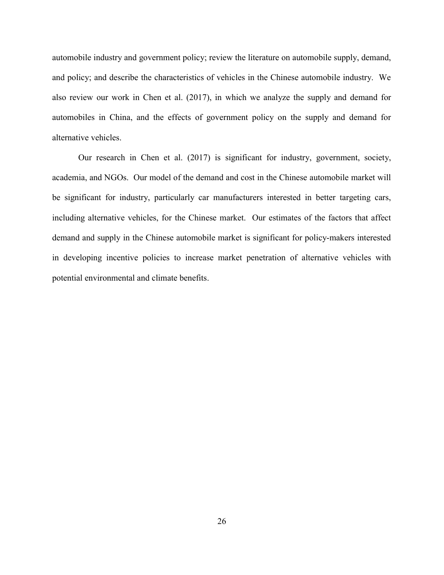automobile industry and government policy; review the literature on automobile supply, demand, and policy; and describe the characteristics of vehicles in the Chinese automobile industry. We also review our work in Chen et al. (2017), in which we analyze the supply and demand for automobiles in China, and the effects of government policy on the supply and demand for alternative vehicles.

Our research in Chen et al. (2017) is significant for industry, government, society, academia, and NGOs. Our model of the demand and cost in the Chinese automobile market will be significant for industry, particularly car manufacturers interested in better targeting cars, including alternative vehicles, for the Chinese market. Our estimates of the factors that affect demand and supply in the Chinese automobile market is significant for policy-makers interested in developing incentive policies to increase market penetration of alternative vehicles with potential environmental and climate benefits.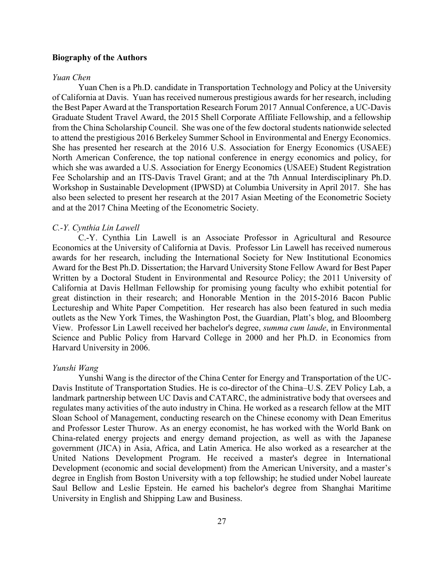#### Biography of the Authors

#### Yuan Chen

Yuan Chen is a Ph.D. candidate in Transportation Technology and Policy at the University of California at Davis. Yuan has received numerous prestigious awards for her research, including the Best Paper Award at the Transportation Research Forum 2017 Annual Conference, a UC-Davis Graduate Student Travel Award, the 2015 Shell Corporate Affiliate Fellowship, and a fellowship from the China Scholarship Council. She was one of the few doctoral students nationwide selected to attend the prestigious 2016 Berkeley Summer School in Environmental and Energy Economics. She has presented her research at the 2016 U.S. Association for Energy Economics (USAEE) North American Conference, the top national conference in energy economics and policy, for which she was awarded a U.S. Association for Energy Economics (USAEE) Student Registration Fee Scholarship and an ITS-Davis Travel Grant; and at the 7th Annual Interdisciplinary Ph.D. Workshop in Sustainable Development (IPWSD) at Columbia University in April 2017. She has also been selected to present her research at the 2017 Asian Meeting of the Econometric Society and at the 2017 China Meeting of the Econometric Society.

#### C.-Y. Cynthia Lin Lawell

C.-Y. Cynthia Lin Lawell is an Associate Professor in Agricultural and Resource Economics at the University of California at Davis. Professor Lin Lawell has received numerous awards for her research, including the International Society for New Institutional Economics Award for the Best Ph.D. Dissertation; the Harvard University Stone Fellow Award for Best Paper Written by a Doctoral Student in Environmental and Resource Policy; the 2011 University of California at Davis Hellman Fellowship for promising young faculty who exhibit potential for great distinction in their research; and Honorable Mention in the 2015-2016 Bacon Public Lectureship and White Paper Competition. Her research has also been featured in such media outlets as the New York Times, the Washington Post, the Guardian, Platt's blog, and Bloomberg View. Professor Lin Lawell received her bachelor's degree, summa cum laude, in Environmental Science and Public Policy from Harvard College in 2000 and her Ph.D. in Economics from Harvard University in 2006.

#### Yunshi Wang

Yunshi Wang is the director of the China Center for Energy and Transportation of the UC-Davis Institute of Transportation Studies. He is co-director of the China–U.S. ZEV Policy Lab, a landmark partnership between UC Davis and CATARC, the administrative body that oversees and regulates many activities of the auto industry in China. He worked as a research fellow at the MIT Sloan School of Management, conducting research on the Chinese economy with Dean Emeritus and Professor Lester Thurow. As an energy economist, he has worked with the World Bank on China-related energy projects and energy demand projection, as well as with the Japanese government (JICA) in Asia, Africa, and Latin America. He also worked as a researcher at the United Nations Development Program. He received a master's degree in International Development (economic and social development) from the American University, and a master's degree in English from Boston University with a top fellowship; he studied under Nobel laureate Saul Bellow and Leslie Epstein. He earned his bachelor's degree from Shanghai Maritime University in English and Shipping Law and Business.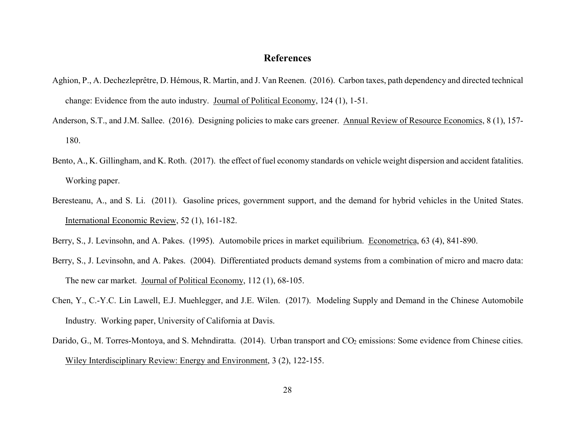# References

- Aghion, P., A. Dechezleprêtre, D. Hémous, R. Martin, and J. Van Reenen. (2016). Carbon taxes, path dependency and directed technical change: Evidence from the auto industry. Journal of Political Economy, 124 (1), 1-51.
- Anderson, S.T., and J.M. Sallee. (2016). Designing policies to make cars greener. Annual Review of Resource Economics, 8 (1), 157-180.
- Bento, A., K. Gillingham, and K. Roth. (2017). the effect of fuel economy standards on vehicle weight dispersion and accident fatalities. Working paper.
- Beresteanu, A., and S. Li. (2011). Gasoline prices, government support, and the demand for hybrid vehicles in the United States. International Economic Review, 52 (1), 161-182.
- Berry, S., J. Levinsohn, and A. Pakes. (1995). Automobile prices in market equilibrium. Econometrica, 63 (4), 841-890.
- Berry, S., J. Levinsohn, and A. Pakes. (2004). Differentiated products demand systems from a combination of micro and macro data: The new car market. Journal of Political Economy, 112 (1), 68-105.
- Chen, Y., C.-Y.C. Lin Lawell, E.J. Muehlegger, and J.E. Wilen. (2017). Modeling Supply and Demand in the Chinese Automobile Industry. Working paper, University of California at Davis.
- Darido, G., M. Torres-Montoya, and S. Mehndiratta. (2014). Urban transport and CO<sub>2</sub> emissions: Some evidence from Chinese cities. Wiley Interdisciplinary Review: Energy and Environment, 3 (2), 122-155.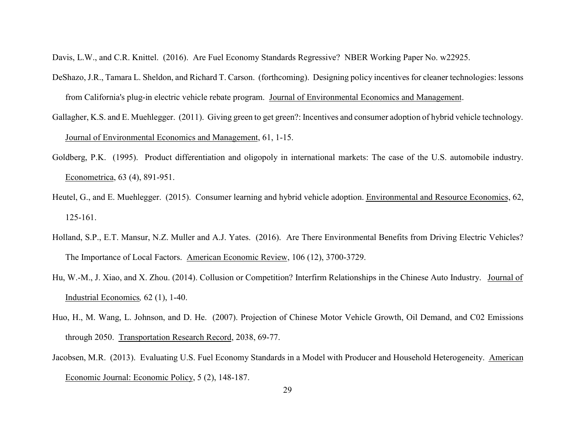Davis, L.W., and C.R. Knittel. (2016). Are Fuel Economy Standards Regressive? NBER Working Paper No. w22925.

- DeShazo, J.R., Tamara L. Sheldon, and Richard T. Carson. (forthcoming). Designing policy incentives for cleaner technologies: lessons from California's plug-in electric vehicle rebate program. Journal of Environmental Economics and Management.
- Gallagher, K.S. and E. Muehlegger. (2011). Giving green to get green?: Incentives and consumer adoption of hybrid vehicle technology. Journal of Environmental Economics and Management, 61, 1-15.
- Goldberg, P.K. (1995). Product differentiation and oligopoly in international markets: The case of the U.S. automobile industry. Econometrica, 63 (4), 891-951.
- Heutel, G., and E. Muehlegger. (2015). Consumer learning and hybrid vehicle adoption. Environmental and Resource Economics, 62, 125-161.
- Holland, S.P., E.T. Mansur, N.Z. Muller and A.J. Yates. (2016). Are There Environmental Benefits from Driving Electric Vehicles? The Importance of Local Factors. American Economic Review, 106 (12), 3700-3729.
- Hu, W.-M., J. Xiao, and X. Zhou. (2014). Collusion or Competition? Interfirm Relationships in the Chinese Auto Industry. Journal of Industrial Economics, 62 (1), 1-40.
- Huo, H., M. Wang, L. Johnson, and D. He. (2007). Projection of Chinese Motor Vehicle Growth, Oil Demand, and C02 Emissions through 2050. Transportation Research Record, 2038, 69-77.
- Jacobsen, M.R. (2013). Evaluating U.S. Fuel Economy Standards in a Model with Producer and Household Heterogeneity. American Economic Journal: Economic Policy, 5 (2), 148-187.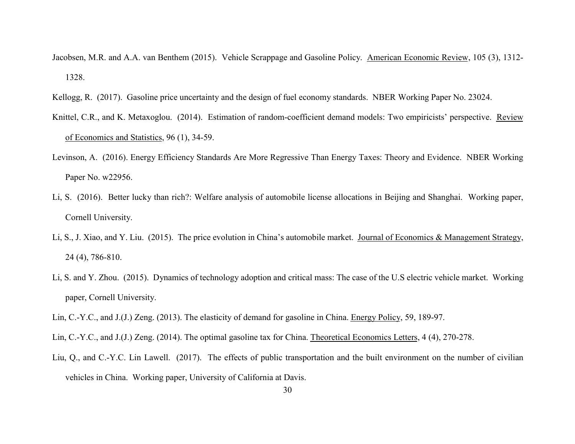- Jacobsen, M.R. and A.A. van Benthem (2015). Vehicle Scrappage and Gasoline Policy. American Economic Review, 105 (3), 1312- 1328.
- Kellogg, R. (2017). Gasoline price uncertainty and the design of fuel economy standards. NBER Working Paper No. 23024.
- Knittel, C.R., and K. Metaxoglou. (2014). Estimation of random-coefficient demand models: Two empiricists' perspective. Review of Economics and Statistics, 96 (1), 34-59.
- Levinson, A. (2016). Energy Efficiency Standards Are More Regressive Than Energy Taxes: Theory and Evidence. NBER Working Paper No. w22956.
- Li, S. (2016). Better lucky than rich?: Welfare analysis of automobile license allocations in Beijing and Shanghai. Working paper, Cornell University.
- Li, S., J. Xiao, and Y. Liu. (2015). The price evolution in China's automobile market. Journal of Economics & Management Strategy, 24 (4), 786-810.
- Li, S. and Y. Zhou. (2015). Dynamics of technology adoption and critical mass: The case of the U.S electric vehicle market. Working paper, Cornell University.
- Lin, C.-Y.C., and J.(J.) Zeng. (2013). The elasticity of demand for gasoline in China. Energy Policy, 59, 189-97.
- Lin, C.-Y.C., and J.(J.) Zeng. (2014). The optimal gasoline tax for China. Theoretical Economics Letters, 4 (4), 270-278.
- Liu, Q., and C.-Y.C. Lin Lawell. (2017). The effects of public transportation and the built environment on the number of civilian vehicles in China. Working paper, University of California at Davis.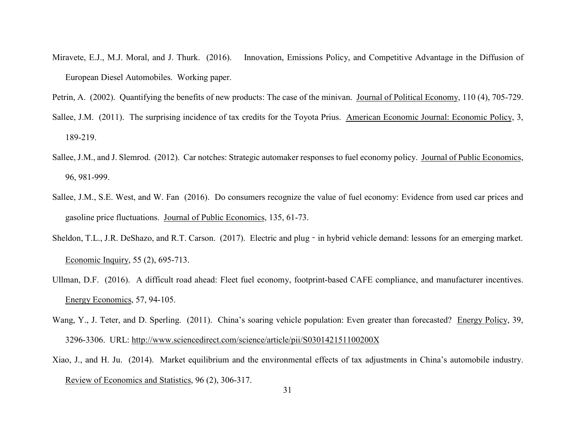- Miravete, E.J., M.J. Moral, and J. Thurk. (2016). Innovation, Emissions Policy, and Competitive Advantage in the Diffusion of European Diesel Automobiles. Working paper.
- Petrin, A. (2002). Quantifying the benefits of new products: The case of the minivan. Journal of Political Economy, 110 (4), 705-729.
- Sallee, J.M. (2011). The surprising incidence of tax credits for the Toyota Prius. American Economic Journal: Economic Policy, 3, 189-219.
- Sallee, J.M., and J. Slemrod. (2012). Car notches: Strategic automaker responses to fuel economy policy. Journal of Public Economics, 96, 981-999.
- Sallee, J.M., S.E. West, and W. Fan (2016). Do consumers recognize the value of fuel economy: Evidence from used car prices and gasoline price fluctuations. Journal of Public Economics, 135, 61-73.
- Sheldon, T.L., J.R. DeShazo, and R.T. Carson. (2017). Electric and plug in hybrid vehicle demand: lessons for an emerging market. Economic Inquiry, 55 (2), 695-713.
- Ullman, D.F. (2016). A difficult road ahead: Fleet fuel economy, footprint-based CAFE compliance, and manufacturer incentives. Energy Economics, 57, 94-105.
- Wang, Y., J. Teter, and D. Sperling. (2011). China's soaring vehicle population: Even greater than forecasted? Energy Policy, 39, 3296-3306. URL: http://www.sciencedirect.com/science/article/pii/S030142151100200X
- Xiao, J., and H. Ju. (2014). Market equilibrium and the environmental effects of tax adjustments in China's automobile industry. Review of Economics and Statistics, 96 (2), 306-317.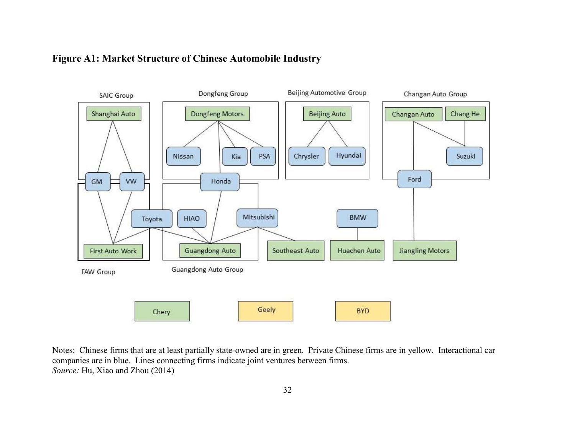

# Figure A1: Market Structure of Chinese Automobile Industry

Notes: Chinese firms that are at least partially state-owned are in green. Private Chinese firms are in yellow. Interactional car companies are in blue. Lines connecting firms indicate joint ventures between firms. Source: Hu, Xiao and Zhou (2014)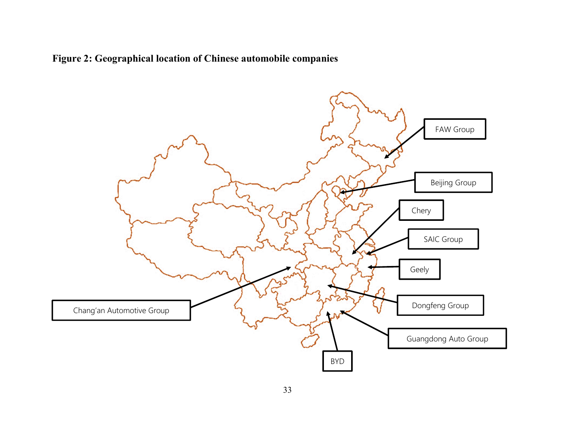Figure 2: Geographical location of Chinese automobile companies

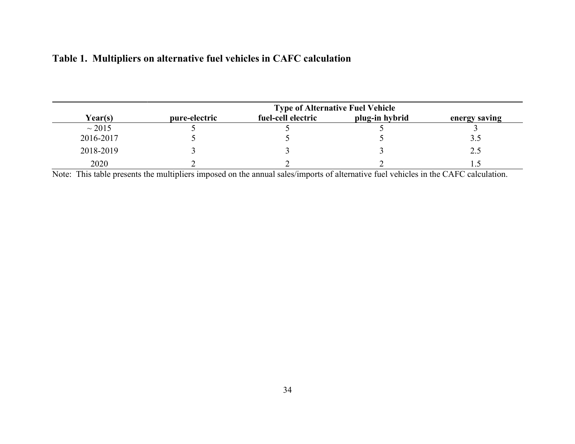| <b>Type of Alternative Fuel Vehicle</b> |               |                    |                |               |  |  |  |
|-----------------------------------------|---------------|--------------------|----------------|---------------|--|--|--|
| Year(s)                                 | pure-electric | fuel-cell electric | plug-in hybrid | energy saving |  |  |  |
| $\sim$ 2015                             |               |                    |                |               |  |  |  |
| 2016-2017                               |               |                    |                | 3.5           |  |  |  |
| 2018-2019                               |               |                    |                |               |  |  |  |
| 2020                                    |               |                    |                |               |  |  |  |

Note: This table presents the multipliers imposed on the annual sales/imports of alternative fuel vehicles in the CAFC calculation.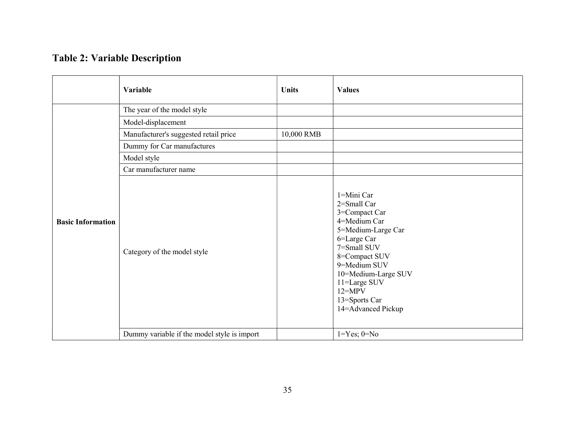# Table 2: Variable Description

|                          | Variable                                    | <b>Units</b> | <b>Values</b>                                                                                                                                                                                                                               |
|--------------------------|---------------------------------------------|--------------|---------------------------------------------------------------------------------------------------------------------------------------------------------------------------------------------------------------------------------------------|
|                          | The year of the model style                 |              |                                                                                                                                                                                                                                             |
|                          | Model-displacement                          |              |                                                                                                                                                                                                                                             |
|                          | Manufacturer's suggested retail price       | 10,000 RMB   |                                                                                                                                                                                                                                             |
|                          | Dummy for Car manufactures                  |              |                                                                                                                                                                                                                                             |
|                          | Model style                                 |              |                                                                                                                                                                                                                                             |
|                          | Car manufacturer name                       |              |                                                                                                                                                                                                                                             |
| <b>Basic Information</b> | Category of the model style                 |              | 1=Mini Car<br>2=Small Car<br>3=Compact Car<br>4=Medium Car<br>5=Medium-Large Car<br>6=Large Car<br>7=Small SUV<br>8=Compact SUV<br>9=Medium SUV<br>10=Medium-Large SUV<br>11=Large SUV<br>$12 = MPV$<br>13=Sports Car<br>14=Advanced Pickup |
|                          | Dummy variable if the model style is import |              | $1 = Yes$ ; $0 = No$                                                                                                                                                                                                                        |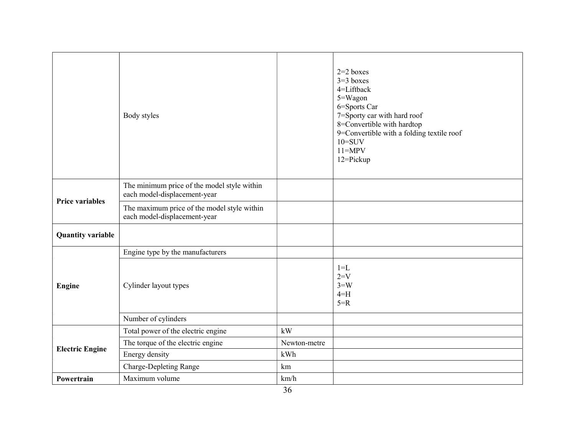|                          | Body styles                                                                 |              | $2=2$ boxes<br>$3=3$ boxes<br>4=Liftback<br>5=Wagon<br>6=Sports Car<br>7=Sporty car with hard roof<br>8=Convertible with hardtop<br>9=Convertible with a folding textile roof<br>$10 = SUV$<br>$11 = MPV$<br>12=Pickup |
|--------------------------|-----------------------------------------------------------------------------|--------------|------------------------------------------------------------------------------------------------------------------------------------------------------------------------------------------------------------------------|
| <b>Price variables</b>   | The minimum price of the model style within<br>each model-displacement-year |              |                                                                                                                                                                                                                        |
|                          | The maximum price of the model style within<br>each model-displacement-year |              |                                                                                                                                                                                                                        |
| <b>Quantity variable</b> |                                                                             |              |                                                                                                                                                                                                                        |
|                          | Engine type by the manufacturers                                            |              |                                                                                                                                                                                                                        |
| Engine                   | Cylinder layout types                                                       |              | $1 = L$<br>$2=V$<br>$3 = W$<br>$4=H$<br>$5=R$                                                                                                                                                                          |
|                          | Number of cylinders                                                         |              |                                                                                                                                                                                                                        |
|                          | Total power of the electric engine                                          | kW           |                                                                                                                                                                                                                        |
| <b>Electric Engine</b>   | The torque of the electric engine                                           | Newton-metre |                                                                                                                                                                                                                        |
|                          | Energy density                                                              | kWh          |                                                                                                                                                                                                                        |
|                          | <b>Charge-Depleting Range</b>                                               | km           |                                                                                                                                                                                                                        |
| Powertrain               | Maximum volume                                                              | km/h         |                                                                                                                                                                                                                        |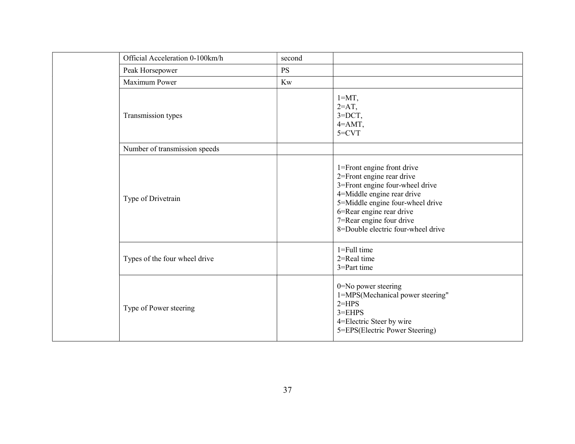|  | Official Acceleration 0-100km/h | second    |                                                                                                                                                                                                                                                            |
|--|---------------------------------|-----------|------------------------------------------------------------------------------------------------------------------------------------------------------------------------------------------------------------------------------------------------------------|
|  | Peak Horsepower                 | <b>PS</b> |                                                                                                                                                                                                                                                            |
|  | Maximum Power                   | Kw        |                                                                                                                                                                                                                                                            |
|  | Transmission types              |           | $1 = MT$ ,<br>$2=AT$ ,<br>$3=$ DCT,<br>$4 = AMT$ ,<br>$5=CVT$                                                                                                                                                                                              |
|  | Number of transmission speeds   |           |                                                                                                                                                                                                                                                            |
|  | Type of Drivetrain              |           | 1=Front engine front drive<br>2=Front engine rear drive<br>3=Front engine four-wheel drive<br>4=Middle engine rear drive<br>5=Middle engine four-wheel drive<br>6=Rear engine rear drive<br>7=Rear engine four drive<br>8=Double electric four-wheel drive |
|  | Types of the four wheel drive   |           | $1 = Full time$<br>2=Real time<br>3=Part time                                                                                                                                                                                                              |
|  | Type of Power steering          |           | 0=No power steering<br>1=MPS(Mechanical power steering"<br>$2=HPS$<br>$3 = EHPS$<br>4=Electric Steer by wire<br>5=EPS(Electric Power Steering)                                                                                                             |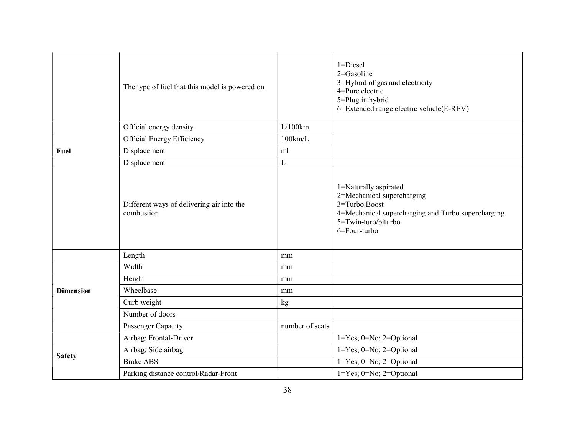|                  | The type of fuel that this model is powered on          |                   | $1 = Discel$<br>2=Gasoline<br>3=Hybrid of gas and electricity<br>4=Pure electric<br>5=Plug in hybrid<br>6=Extended range electric vehicle(E-REV)                      |
|------------------|---------------------------------------------------------|-------------------|-----------------------------------------------------------------------------------------------------------------------------------------------------------------------|
|                  | Official energy density                                 | L/100km           |                                                                                                                                                                       |
|                  | Official Energy Efficiency                              | $100 \text{km/L}$ |                                                                                                                                                                       |
| Fuel             | Displacement                                            | ml                |                                                                                                                                                                       |
|                  | Displacement                                            | $\mathbf L$       |                                                                                                                                                                       |
|                  | Different ways of delivering air into the<br>combustion |                   | 1=Naturally aspirated<br>2=Mechanical supercharging<br>3=Turbo Boost<br>4=Mechanical supercharging and Turbo supercharging<br>$5 = Twin-turo/biturbo$<br>6=Four-turbo |
|                  | Length                                                  | mm                |                                                                                                                                                                       |
|                  | Width                                                   | mm                |                                                                                                                                                                       |
|                  | Height                                                  | mm                |                                                                                                                                                                       |
| <b>Dimension</b> | Wheelbase                                               | mm                |                                                                                                                                                                       |
|                  | Curb weight                                             | kg                |                                                                                                                                                                       |
|                  | Number of doors                                         |                   |                                                                                                                                                                       |
|                  | Passenger Capacity                                      | number of seats   |                                                                                                                                                                       |
|                  | Airbag: Frontal-Driver                                  |                   | $1 = Yes$ ; $0 = No$ ; $2 = Optional$                                                                                                                                 |
|                  | Airbag: Side airbag                                     |                   | $1 = Yes$ ; $0 = No$ ; $2 = Optional$                                                                                                                                 |
| <b>Safety</b>    | <b>Brake ABS</b>                                        |                   | $1 = Yes$ ; $0 = No$ ; $2 = Optional$                                                                                                                                 |
|                  | Parking distance control/Radar-Front                    |                   | $1 = Yes$ ; $0 = No$ ; $2 = Optional$                                                                                                                                 |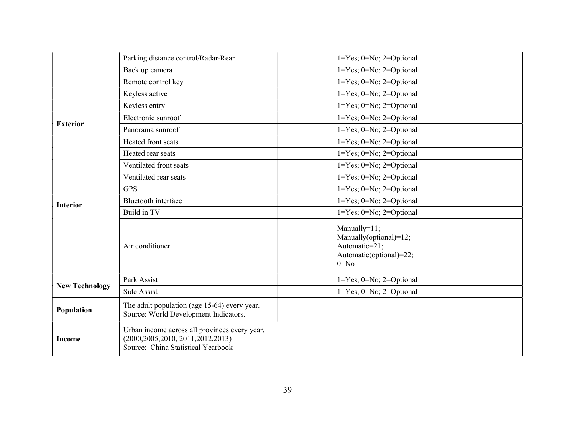|                       | Parking distance control/Radar-Rear                                                                                         | $1 = Yes$ ; $0 = No$ ; $2 = Optional$                                                          |
|-----------------------|-----------------------------------------------------------------------------------------------------------------------------|------------------------------------------------------------------------------------------------|
|                       | Back up camera                                                                                                              | $1 = Yes$ ; $0 = No$ ; $2 = Optional$                                                          |
|                       | Remote control key                                                                                                          | 1=Yes; 0=No; 2=Optional                                                                        |
|                       | Keyless active                                                                                                              | $1 = Yes$ ; $0 = No$ ; $2 = Optional$                                                          |
|                       | Keyless entry                                                                                                               | $1 = Yes$ ; $0 = No$ ; $2 = Optional$                                                          |
| <b>Exterior</b>       | Electronic sunroof                                                                                                          | $1 = Yes$ ; $0 = No$ ; $2 = Optional$                                                          |
|                       | Panorama sunroof                                                                                                            | $1 = Yes$ ; $0 = No$ ; $2 = Optional$                                                          |
|                       | Heated front seats                                                                                                          | $1 = Yes$ ; $0 = No$ ; $2 = Optional$                                                          |
|                       | Heated rear seats                                                                                                           | $1 = Yes$ ; $0 = No$ ; $2 = Optional$                                                          |
|                       | Ventilated front seats                                                                                                      | $1 = Yes$ ; $0 = No$ ; $2 = Optional$                                                          |
|                       | Ventilated rear seats                                                                                                       | $1 = Yes$ ; $0 = No$ ; $2 = Optional$                                                          |
|                       | <b>GPS</b>                                                                                                                  | $1 = Yes$ ; $0 = No$ ; $2 = Optional$                                                          |
| <b>Interior</b>       | <b>Bluetooth</b> interface                                                                                                  | $1 = Yes$ ; $0 = No$ ; $2 = Optional$                                                          |
|                       | Build in TV                                                                                                                 | $1 = Yes$ ; $0 = No$ ; $2 = Optional$                                                          |
|                       | Air conditioner                                                                                                             | Manually=11;<br>Manually(optional)=12;<br>Automatic=21;<br>Automatic(optional)=22;<br>$0 = No$ |
| <b>New Technology</b> | Park Assist                                                                                                                 | $1 = Yes$ ; $0 = No$ ; $2 = Optional$                                                          |
|                       | Side Assist                                                                                                                 | $1 = Yes$ ; $0 = No$ ; $2 = Optional$                                                          |
| Population            | The adult population (age 15-64) every year.<br>Source: World Development Indicators.                                       |                                                                                                |
| <b>Income</b>         | Urban income across all provinces every year.<br>(2000, 2005, 2010, 2011, 2012, 2013)<br>Source: China Statistical Yearbook |                                                                                                |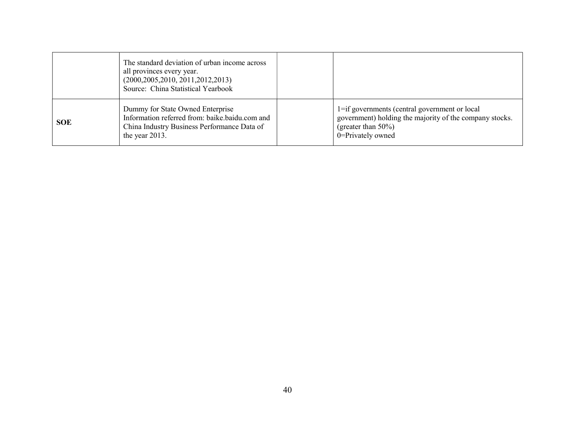|            | The standard deviation of urban income across<br>all provinces every year.<br>(2000, 2005, 2010, 2011, 2012, 2013)<br>Source: China Statistical Yearbook |                                                                                                                                                         |
|------------|----------------------------------------------------------------------------------------------------------------------------------------------------------|---------------------------------------------------------------------------------------------------------------------------------------------------------|
| <b>SOE</b> | Dummy for State Owned Enterprise<br>Information referred from: baike.baidu.com and<br>China Industry Business Performance Data of<br>the year 2013.      | 1=if governments (central government or local<br>government) holding the majority of the company stocks.<br>(greater than $50\%$ )<br>0=Privately owned |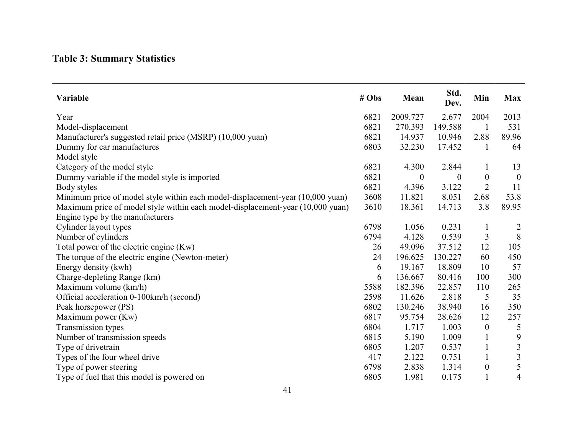# Table 3: Summary Statistics

| Variable                                                                       | # Obs | Mean             | Std.<br>Dev. | Min              | <b>Max</b>              |
|--------------------------------------------------------------------------------|-------|------------------|--------------|------------------|-------------------------|
| Year                                                                           | 6821  | 2009.727         | 2.677        | 2004             | 2013                    |
| Model-displacement                                                             | 6821  | 270.393          | 149.588      |                  | 531                     |
| Manufacturer's suggested retail price (MSRP) (10,000 yuan)                     | 6821  | 14.937           | 10.946       | 2.88             | 89.96                   |
| Dummy for car manufactures                                                     | 6803  | 32.230           | 17.452       | 1                | 64                      |
| Model style                                                                    |       |                  |              |                  |                         |
| Category of the model style                                                    | 6821  | 4.300            | 2.844        | $\perp$          | 13                      |
| Dummy variable if the model style is imported                                  | 6821  | $\boldsymbol{0}$ | $\theta$     | $\boldsymbol{0}$ | $\overline{0}$          |
| Body styles                                                                    | 6821  | 4.396            | 3.122        | $\overline{2}$   | 11                      |
| Minimum price of model style within each model-displacement-year (10,000 yuan) | 3608  | 11.821           | 8.051        | 2.68             | 53.8                    |
| Maximum price of model style within each model-displacement-year (10,000 yuan) | 3610  | 18.361           | 14.713       | 3.8              | 89.95                   |
| Engine type by the manufacturers                                               |       |                  |              |                  |                         |
| Cylinder layout types                                                          | 6798  | 1.056            | 0.231        |                  | $\overline{c}$          |
| Number of cylinders                                                            | 6794  | 4.128            | 0.539        | 3                | 8                       |
| Total power of the electric engine (Kw)                                        | 26    | 49.096           | 37.512       | 12               | 105                     |
| The torque of the electric engine (Newton-meter)                               | 24    | 196.625          | 130.227      | 60               | 450                     |
| Energy density (kwh)                                                           | 6     | 19.167           | 18.809       | 10               | 57                      |
| Charge-depleting Range (km)                                                    | 6     | 136.667          | 80.416       | 100              | 300                     |
| Maximum volume (km/h)                                                          | 5588  | 182.396          | 22.857       | 110              | 265                     |
| Official acceleration 0-100km/h (second)                                       | 2598  | 11.626           | 2.818        | 5                | 35                      |
| Peak horsepower (PS)                                                           | 6802  | 130.246          | 38.940       | 16               | 350                     |
| Maximum power (Kw)                                                             | 6817  | 95.754           | 28.626       | 12               | 257                     |
| Transmission types                                                             | 6804  | 1.717            | 1.003        | $\mathbf{0}$     | 5                       |
| Number of transmission speeds                                                  | 6815  | 5.190            | 1.009        | $\mathbf{1}$     | 9                       |
| Type of drivetrain                                                             | 6805  | 1.207            | 0.537        | $\mathbf{1}$     | $\mathfrak{Z}$          |
| Types of the four wheel drive                                                  | 417   | 2.122            | 0.751        |                  | $\overline{\mathbf{3}}$ |
| Type of power steering                                                         | 6798  | 2.838            | 1.314        | $\theta$         | 5                       |
| Type of fuel that this model is powered on                                     | 6805  | 1.981            | 0.175        |                  | 4                       |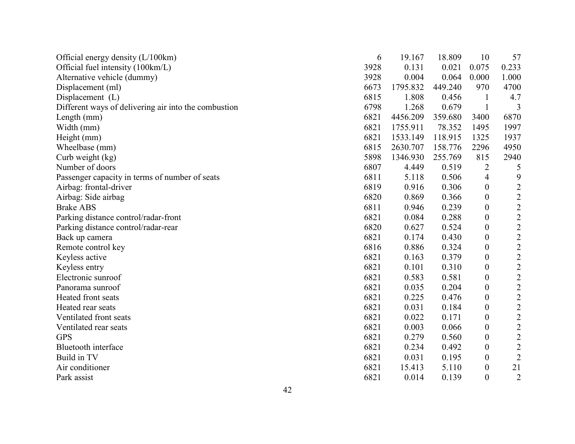| Official energy density $(L/100km)$                  | 6    | 19.167   | 18.809  | 10               | 57             |
|------------------------------------------------------|------|----------|---------|------------------|----------------|
| Official fuel intensity (100km/L)                    | 3928 | 0.131    | 0.021   | 0.075            | 0.233          |
| Alternative vehicle (dummy)                          | 3928 | 0.004    | 0.064   | 0.000            | 1.000          |
| Displacement (ml)                                    | 6673 | 1795.832 | 449.240 | 970              | 4700           |
| Displacement $(L)$                                   | 6815 | 1.808    | 0.456   |                  | 4.7            |
| Different ways of delivering air into the combustion | 6798 | 1.268    | 0.679   | 1                | 3              |
| Length (mm)                                          | 6821 | 4456.209 | 359.680 | 3400             | 6870           |
| Width (mm)                                           | 6821 | 1755.911 | 78.352  | 1495             | 1997           |
| Height (mm)                                          | 6821 | 1533.149 | 118.915 | 1325             | 1937           |
| Wheelbase (mm)                                       | 6815 | 2630.707 | 158.776 | 2296             | 4950           |
| Curb weight (kg)                                     | 5898 | 1346.930 | 255.769 | 815              | 2940           |
| Number of doors                                      | 6807 | 4.449    | 0.519   | 2                | 5              |
| Passenger capacity in terms of number of seats       | 6811 | 5.118    | 0.506   | 4                | 9              |
| Airbag: frontal-driver                               | 6819 | 0.916    | 0.306   | $\boldsymbol{0}$ | $\sqrt{2}$     |
| Airbag: Side airbag                                  | 6820 | 0.869    | 0.366   | $\boldsymbol{0}$ | $\overline{2}$ |
| <b>Brake ABS</b>                                     | 6811 | 0.946    | 0.239   | $\boldsymbol{0}$ | $\overline{c}$ |
| Parking distance control/radar-front                 | 6821 | 0.084    | 0.288   | $\boldsymbol{0}$ | $\overline{2}$ |
| Parking distance control/radar-rear                  | 6820 | 0.627    | 0.524   | $\boldsymbol{0}$ | $\overline{2}$ |
| Back up camera                                       | 6821 | 0.174    | 0.430   | $\theta$         | $\overline{c}$ |
| Remote control key                                   | 6816 | 0.886    | 0.324   | $\boldsymbol{0}$ | $\overline{c}$ |
| Keyless active                                       | 6821 | 0.163    | 0.379   | $\theta$         | $\overline{c}$ |
| Keyless entry                                        | 6821 | 0.101    | 0.310   | $\boldsymbol{0}$ | $\sqrt{2}$     |
| Electronic sunroof                                   | 6821 | 0.583    | 0.581   | $\theta$         | $\overline{2}$ |
| Panorama sunroof                                     | 6821 | 0.035    | 0.204   | $\boldsymbol{0}$ | $\sqrt{2}$     |
| Heated front seats                                   | 6821 | 0.225    | 0.476   | $\theta$         | $\overline{c}$ |
| Heated rear seats                                    | 6821 | 0.031    | 0.184   | $\boldsymbol{0}$ | $\overline{2}$ |
| Ventilated front seats                               | 6821 | 0.022    | 0.171   | $\overline{0}$   | $\overline{2}$ |
| Ventilated rear seats                                | 6821 | 0.003    | 0.066   | $\boldsymbol{0}$ | $\sqrt{2}$     |
| <b>GPS</b>                                           | 6821 | 0.279    | 0.560   | $\boldsymbol{0}$ | $\sqrt{2}$     |
| <b>Bluetooth</b> interface                           | 6821 | 0.234    | 0.492   | $\boldsymbol{0}$ | $\overline{2}$ |
| Build in TV                                          | 6821 | 0.031    | 0.195   | $\overline{0}$   | $\overline{2}$ |
| Air conditioner                                      | 6821 | 15.413   | 5.110   | $\boldsymbol{0}$ | 21             |
| Park assist                                          | 6821 | 0.014    | 0.139   | $\overline{0}$   | $\overline{2}$ |